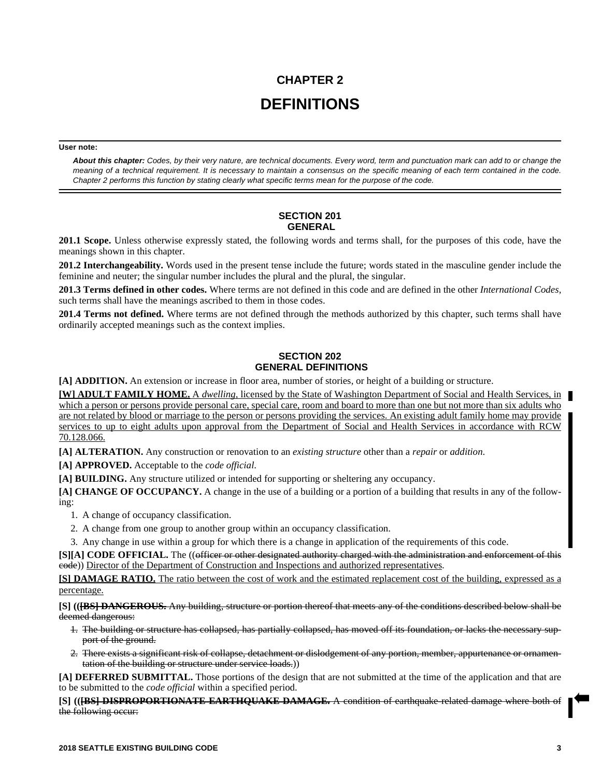## **CHAPTER 2 DEFINITIONS**

## **User note:**

*About this chapter: Codes, by their very nature, are technical documents. Every word, term and punctuation mark can add to or change the meaning of a technical requirement. It is necessary to maintain a consensus on the specific meaning of each term contained in the code. Chapter 2 performs this function by stating clearly what specific terms mean for the purpose of the code.*

## **SECTION 201 GENERAL**

**201.1 Scope.** Unless otherwise expressly stated, the following words and terms shall, for the purposes of this code, have the meanings shown in this chapter.

**201.2 Interchangeability.** Words used in the present tense include the future; words stated in the masculine gender include the feminine and neuter; the singular number includes the plural and the plural, the singular.

**201.3 Terms defined in other codes.** Where terms are not defined in this code and are defined in the other *International Codes,* such terms shall have the meanings ascribed to them in those codes.

**201.4 Terms not defined.** Where terms are not defined through the methods authorized by this chapter, such terms shall have ordinarily accepted meanings such as the context implies.

## **SECTION 202 GENERAL DEFINITIONS**

**[A] ADDITION.** An extension or increase in floor area, number of stories, or height of a building or structure.

**[W] ADULT FAMILY HOME.** A *dwelling,* licensed by the State of Washington Department of Social and Health Services, in which a person or persons provide personal care, special care, room and board to more than one but not more than six adults who are not related by blood or marriage to the person or persons providing the services. An existing adult family home may provide services to up to eight adults upon approval from the Department of Social and Health Services in accordance with RCW 70.128.066.

**[A] ALTERATION.** Any construction or renovation to an *existing structure* other than a *repair* or *addition*.

**[A] APPROVED.** Acceptable to the *code official*.

**[A] BUILDING.** Any structure utilized or intended for supporting or sheltering any occupancy.

**[A] CHANGE OF OCCUPANCY.** A change in the use of a building or a portion of a building that results in any of the following:

1. A change of occupancy classification.

2. A change from one group to another group within an occupancy classification.

3. Any change in use within a group for which there is a change in application of the requirements of this code.

**[S][A] CODE OFFICIAL.** The ((officer or other designated authority charged with the administration and enforcement of this code)) Director of the Department of Construction and Inspections and authorized representatives.

**[S] DAMAGE RATIO.** The ratio between the cost of work and the estimated replacement cost of the building, expressed as a percentage.

**[S] (([BS] DANGEROUS.** Any building, structure or portion thereof that meets any of the conditions described below shall be deemed dangerous:

- 1. The building or structure has collapsed, has partially collapsed, has moved off its foundation, or lacks the necessary support of the ground.
- 2. There exists a significant risk of collapse, detachment or dislodgement of any portion, member, appurtenance or ornamentation of the building or structure under service loads.))

**[A] DEFERRED SUBMITTAL.** Those portions of the design that are not submitted at the time of the application and that are to be submitted to the *code official* within a specified period.

**[S] ((<del>[BS] DISPROPORTIONATE EARTHQUAKE DAMAGE.</del> A condition of earthquake related damage** the following occur: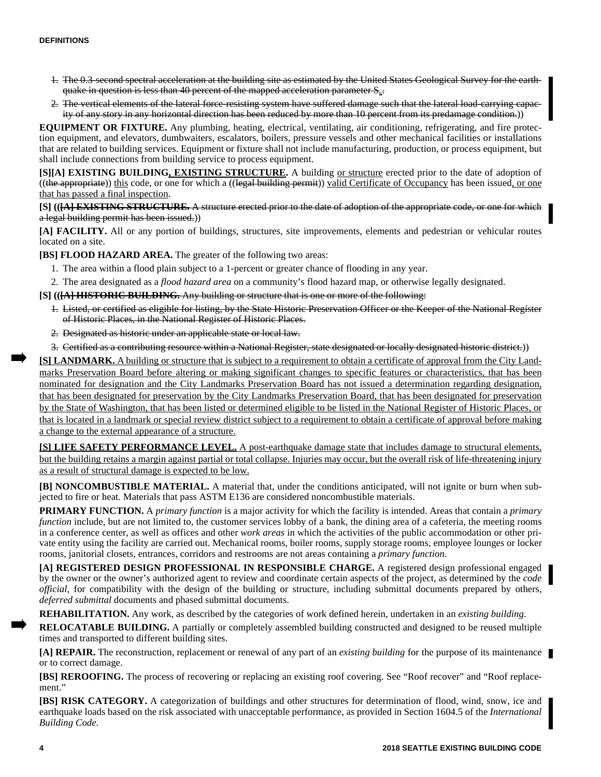- 1. The 0.3-second spectral acceleration at the building site as estimated by the United States Geological Survey for the earthquake in question is less than 40 percent of the mapped acceleration parameter  $\mathrm{S}_{\mathrm{g}}$ .
- 2. The vertical elements of the lateral force-resisting system have suffered damage such that the lateral load-carrying capacity of any story in any horizontal direction has been reduced by more than 10 percent from its predamage condition.))

**EQUIPMENT OR FIXTURE.** Any plumbing, heating, electrical, ventilating, air conditioning, refrigerating, and fire protection equipment, and elevators, dumbwaiters, escalators, boilers, pressure vessels and other mechanical facilities or installations that are related to building services. Equipment or fixture shall not include manufacturing, production, or process equipment, but shall include connections from building service to process equipment.

**[S][A] EXISTING BUILDING, EXISTING STRUCTURE.** A building or structure erected prior to the date of adoption of ((the appropriate)) this code, or one for which a ((legal building permit)) valid Certificate of Occupancy has been issued, or one that has passed a final inspection.

**[S] (([A] EXISTING STRUCTURE.** A structure erected prior to the date of adoption of the appropriate code, or one for which a legal building permit has been issued.))

**[A] FACILITY.** All or any portion of buildings, structures, site improvements, elements and pedestrian or vehicular routes located on a site.

**[BS] FLOOD HAZARD AREA.** The greater of the following two areas:

- 1. The area within a flood plain subject to a 1-percent or greater chance of flooding in any year.
- 2. The area designated as a *flood hazard area* on a community's flood hazard map, or otherwise legally designated.

**[S] (([A] HISTORIC BUILDING.** Any building or structure that is one or more of the following:

- 1. Listed, or certified as eligible for listing, by the State Historic Preservation Officer or the Keeper of the National Register of Historic Places, in the National Register of Historic Places.
- 2. Designated as historic under an applicable state or local law.
- 3. Certified as a contributing resource within a National Register, state designated or locally designated historic district.))

**[S] LANDMARK.** A building or structure that is subject to a requirement to obtain a certificate of approval from the City Landmarks Preservation Board before altering or making significant changes to specific features or characteristics, that has been nominated for designation and the City Landmarks Preservation Board has not issued a determination regarding designation, that has been designated for preservation by the City Landmarks Preservation Board, that has been designated for preservation by the State of Washington, that has been listed or determined eligible to be listed in the National Register of Historic Places, or that is located in a landmark or special review district subject to a requirement to obtain a certificate of approval before making a change to the external appearance of a structure.

**[S] LIFE SAFETY PERFORMANCE LEVEL.** A post-earthquake damage state that includes damage to structural elements, but the building retains a margin against partial or total collapse. Injuries may occur, but the overall risk of life-threatening injury as a result of structural damage is expected to be low.

**[B] NONCOMBUSTIBLE MATERIAL.** A material that, under the conditions anticipated, will not ignite or burn when subjected to fire or heat. Materials that pass ASTM E136 are considered noncombustible materials.

**PRIMARY FUNCTION.** A *primary function* is a major activity for which the facility is intended. Areas that contain a *primary function* include, but are not limited to, the customer services lobby of a bank, the dining area of a cafeteria, the meeting rooms in a conference center, as well as offices and other *work areas* in which the activities of the public accommodation or other private entity using the facility are carried out. Mechanical rooms, boiler rooms, supply storage rooms, employee lounges or locker rooms, janitorial closets, entrances, corridors and restrooms are not areas containing a *primary function*.

**[A] REGISTERED DESIGN PROFESSIONAL IN RESPONSIBLE CHARGE.** A registered design professional engaged by the owner or the owner's authorized agent to review and coordinate certain aspects of the project, as determined by the *code official*, for compatibility with the design of the building or structure, including submittal documents prepared by others, *deferred submittal* documents and phased submittal documents.

**REHABILITATION.** Any work, as described by the categories of work defined herein, undertaken in an *existing building*.

**RELOCATABLE BUILDING.** A partially or completely assembled building constructed and designed to be reused multiple times and transported to different building sites.

**[A] REPAIR.** The reconstruction, replacement or renewal of any part of an *existing building* for the purpose of its maintenance or to correct damage.

**[BS] REROOFING.** The process of recovering or replacing an existing roof covering. See "Roof recover" and "Roof replacement."

**[BS] RISK CATEGORY.** A categorization of buildings and other structures for determination of flood, wind, snow, ice and earthquake loads based on the risk associated with unacceptable performance, as provided in Section 1604.5 of the *International Building Code*.